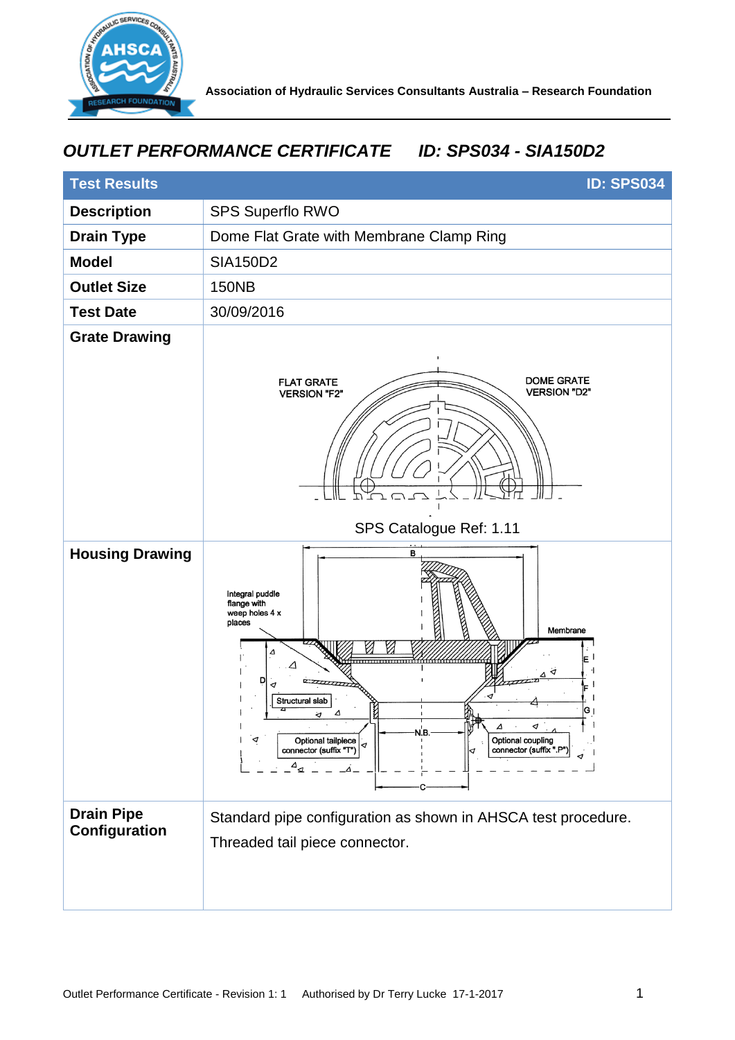

## *OUTLET PERFORMANCE CERTIFICATE ID: SPS034 - SIA150D2*

| <b>Test Results</b>                | <b>ID: SPS034</b>                                                                                                                                                                                                                                                                       |
|------------------------------------|-----------------------------------------------------------------------------------------------------------------------------------------------------------------------------------------------------------------------------------------------------------------------------------------|
| <b>Description</b>                 | SPS Superflo RWO                                                                                                                                                                                                                                                                        |
| <b>Drain Type</b>                  | Dome Flat Grate with Membrane Clamp Ring                                                                                                                                                                                                                                                |
| <b>Model</b>                       | <b>SIA150D2</b>                                                                                                                                                                                                                                                                         |
| <b>Outlet Size</b>                 | <b>150NB</b>                                                                                                                                                                                                                                                                            |
| <b>Test Date</b>                   | 30/09/2016                                                                                                                                                                                                                                                                              |
| <b>Grate Drawing</b>               | <b>DOME GRATE</b><br><b>FLAT GRATE</b><br><b>VERSION "D2"</b><br><b>VERSION "F2"</b>                                                                                                                                                                                                    |
|                                    | SPS Catalogue Ref: 1.11                                                                                                                                                                                                                                                                 |
| <b>Housing Drawing</b>             | в<br>Integral puddle<br>flange with<br>weep holes 4 x<br>places<br>Membrane<br>Δ<br>Ζ<br>D<br>Structural slab<br>K<br>G۱<br>Δ<br>্য<br>Δ<br>⊲<br>N.B.<br>◁<br>Optional coupling<br>Optional tailpiece<br>connector (suffix".P"<br>connector (suffix "T")<br>⊲<br>$\Delta_{\mathcal{A}}$ |
| <b>Drain Pipe</b><br>Configuration | Standard pipe configuration as shown in AHSCA test procedure.<br>Threaded tail piece connector.                                                                                                                                                                                         |